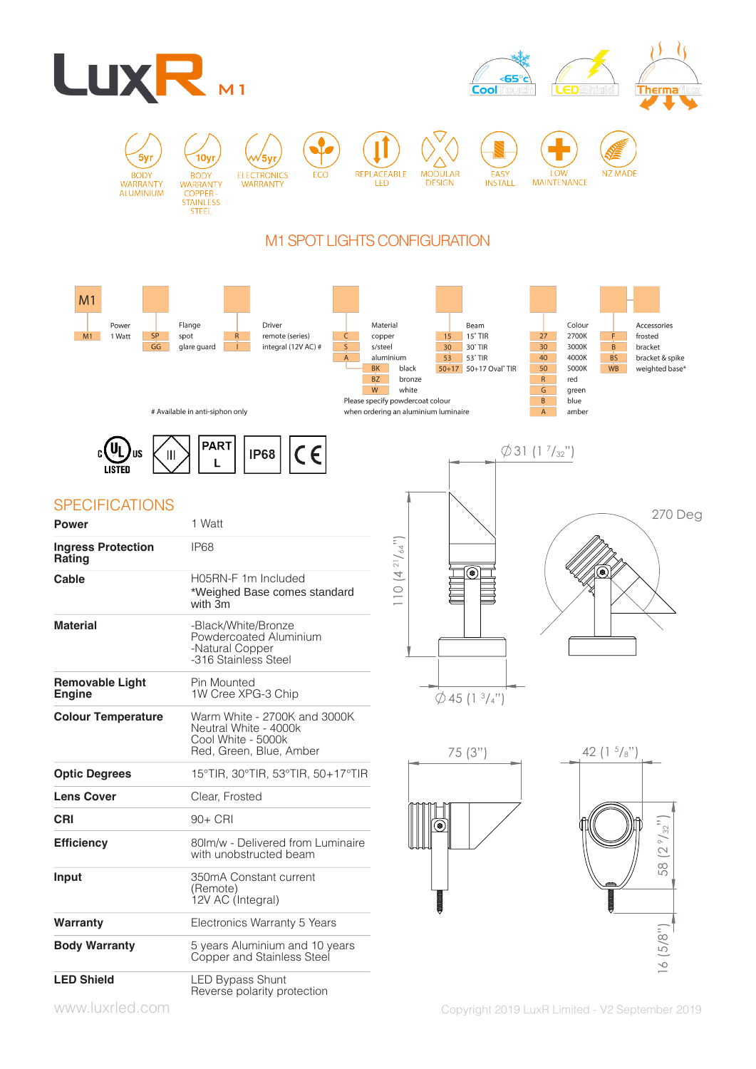